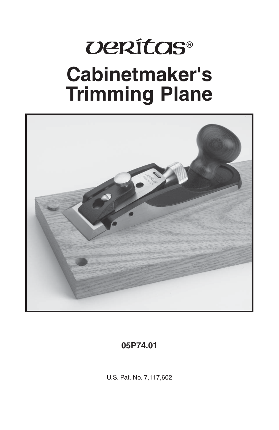# *UERÍTOS®* **Cabinetmaker's Trimming Plane**



#### **05P74.01**

U.S. Pat. No. 7,117,602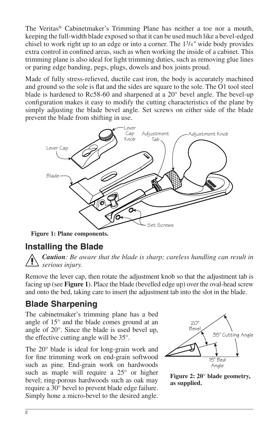The Veritas® Cabinetmaker's Trimming Plane has neither a toe nor a mouth, keeping the full-width blade exposed so that it can be used much like a bevel-edged chisel to work right up to an edge or into a corner. The 13/4*"* wide body provides extra control in confined areas, such as when working the inside of a cabinet. This trimming plane is also ideal for light trimming duties, such as removing glue lines or paring edge banding, pegs, plugs, dowels and box joints proud.

Made of fully stress-relieved, ductile cast iron, the body is accurately machined and ground so the sole is flat and the sides are square to the sole. The O1 tool steel blade is hardened to Rc58-60 and sharpened at a 20° bevel angle. The bevel-up configuration makes it easy to modify the cutting characteristics of the plane by simply adjusting the blade bevel angle. Set screws on either side of the blade prevent the blade from shifting in use.



**Figure 1: Plane components.**

#### **Installing the Blade**



*Caution: Be aware that the blade is sharp; careless handling can result in serious injury.*

Remove the lever cap, then rotate the adjustment knob so that the adjustment tab is facing up (see **Figure 1**). Place the blade (bevelled edge up) over the oval-head screw and onto the bed, taking care to insert the adjustment tab into the slot in the blade.

#### **Blade Sharpening**

The cabinetmaker's trimming plane has a bed angle of 15° and the blade comes ground at an angle of 20°. Since the blade is used bevel up, the effective cutting angle will be 35°.

The 20° blade is ideal for long-grain work and for fine trimming work on end-grain softwood such as pine. End-grain work on hardwoods such as maple will require a  $25^{\circ}$  or higher bevel; ring-porous hardwoods such as oak may require a 30° bevel to prevent blade edge failure. Simply hone a micro-bevel to the desired angle.



**Figure 2: 20° blade geometry, as supplied.**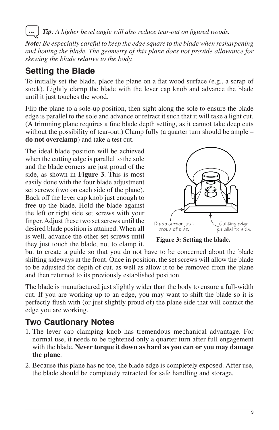Tip: A higher bevel angle will also reduce tear-out on figured woods.

*Note: Be especially careful to keep the edge square to the blade when resharpening and honing the blade. The geometry of this plane does not provide allowance for skewing the blade relative to the body.*

#### **Setting the Blade**

To initially set the blade, place the plane on a flat wood surface (e.g., a scrap of stock). Lightly clamp the blade with the lever cap knob and advance the blade until it just touches the wood.

Flip the plane to a sole-up position, then sight along the sole to ensure the blade edge is parallel to the sole and advance or retract it such that it will take a light cut. (A trimming plane requires a fine blade depth setting, as it cannot take deep cuts without the possibility of tear-out.) Clamp fully (a quarter turn should be ample – **do not overclamp**) and take a test cut.

The ideal blade position will be achieved when the cutting edge is parallel to the sole and the blade corners are just proud of the side, as shown in **Figure 3**. This is most easily done with the four blade adjustment set screws (two on each side of the plane). Back off the lever cap knob just enough to free up the blade. Hold the blade against the left or right side set screws with your finger. Adjust these two set screws until the desired blade position is attained. When all is well, advance the other set screws until they just touch the blade, not to clamp it,



**Figure 3: Setting the blade.**

but to create a guide so that you do not have to be concerned about the blade shifting sideways at the front. Once in position, the set screws will allow the blade to be adjusted for depth of cut, as well as allow it to be removed from the plane and then returned to its previously established position.

The blade is manufactured just slightly wider than the body to ensure a full-width cut. If you are working up to an edge, you may want to shift the blade so it is perfectly flush with (or just slightly proud of) the plane side that will contact the edge you are working.

#### **Two Cautionary Notes**

- 1. The lever cap clamping knob has tremendous mechanical advantage. For normal use, it needs to be tightened only a quarter turn after full engagement with the blade. **Never torque it down as hard as you can or you may damage the plane**.
- 2. Because this plane has no toe, the blade edge is completely exposed. After use, the blade should be completely retracted for safe handling and storage.